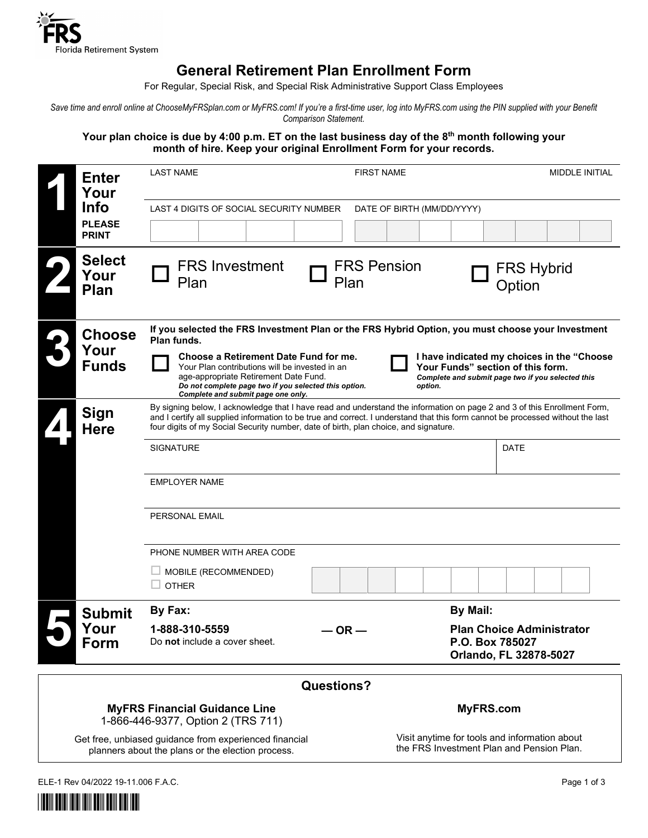

## **General Retirement Plan Enrollment Form**

For Regular, Special Risk, and Special Risk Administrative Support Class Employees

Save time and enroll online at ChooseMyFRSplan.com or MyFRS.com! If you're a first-time user, log into MyFRS.com using the PIN supplied with your Benefit *Comparison Statement.*

Your plan choice is due by 4:00 p.m. ET on the last business day of the 8<sup>th</sup> month following your **month of hire. Keep your original Enrollment Form for your records.**

|                   | <b>Enter</b><br>Your<br><b>Info</b><br><b>PLEASE</b><br><b>PRINT</b> | <b>LAST NAME</b>                                                                                                                                                                                                                                                                                                                                                                                                                                                                                        | <b>FIRST NAME</b>          |                                                                                            | MIDDLE INITIAL                                             |  |  |
|-------------------|----------------------------------------------------------------------|---------------------------------------------------------------------------------------------------------------------------------------------------------------------------------------------------------------------------------------------------------------------------------------------------------------------------------------------------------------------------------------------------------------------------------------------------------------------------------------------------------|----------------------------|--------------------------------------------------------------------------------------------|------------------------------------------------------------|--|--|
|                   |                                                                      | LAST 4 DIGITS OF SOCIAL SECURITY NUMBER                                                                                                                                                                                                                                                                                                                                                                                                                                                                 |                            | DATE OF BIRTH (MM/DD/YYYY)                                                                 |                                                            |  |  |
|                   | <b>Select</b><br>Your<br><b>Plan</b>                                 | <b>FRS Investment</b><br>Plan                                                                                                                                                                                                                                                                                                                                                                                                                                                                           | <b>FRS Pension</b><br>Plan |                                                                                            | <b>FRS Hybrid</b><br>Option                                |  |  |
|                   | <b>Choose</b><br>Your<br><b>Funds</b>                                | If you selected the FRS Investment Plan or the FRS Hybrid Option, you must choose your Investment<br>Plan funds.<br>Choose a Retirement Date Fund for me.<br>I have indicated my choices in the "Choose"<br>Your Plan contributions will be invested in an<br>Your Funds" section of this form.<br>age-appropriate Retirement Date Fund.<br>Complete and submit page two if you selected this<br>Do not complete page two if you selected this option.<br>option.<br>Complete and submit page one only. |                            |                                                                                            |                                                            |  |  |
|                   | Sign<br><b>Here</b>                                                  | By signing below, I acknowledge that I have read and understand the information on page 2 and 3 of this Enrollment Form,<br>and I certify all supplied information to be true and correct. I understand that this form cannot be processed without the last<br>four digits of my Social Security number, date of birth, plan choice, and signature.<br><b>SIGNATURE</b>                                                                                                                                 |                            |                                                                                            | DATE                                                       |  |  |
|                   |                                                                      | <b>EMPLOYER NAME</b><br>PERSONAL EMAIL                                                                                                                                                                                                                                                                                                                                                                                                                                                                  |                            |                                                                                            |                                                            |  |  |
|                   |                                                                      | PHONE NUMBER WITH AREA CODE<br>MOBILE (RECOMMENDED)<br><b>OTHER</b>                                                                                                                                                                                                                                                                                                                                                                                                                                     |                            |                                                                                            |                                                            |  |  |
|                   | <b>Submit</b><br>Your<br>Form                                        | By Fax:<br>1-888-310-5559<br>Do not include a cover sheet.                                                                                                                                                                                                                                                                                                                                                                                                                                              | — OR —                     | <b>By Mail:</b><br>P.O. Box 785027                                                         | <b>Plan Choice Administrator</b><br>Orlando, FL 32878-5027 |  |  |
| <b>Questions?</b> |                                                                      |                                                                                                                                                                                                                                                                                                                                                                                                                                                                                                         |                            |                                                                                            |                                                            |  |  |
|                   |                                                                      | <b>MyFRS Financial Guidance Line</b><br>1-866-446-9377, Option 2 (TRS 711)                                                                                                                                                                                                                                                                                                                                                                                                                              |                            | <b>MyFRS.com</b>                                                                           |                                                            |  |  |
|                   |                                                                      | Get free, unbiased guidance from experienced financial<br>planners about the plans or the election process.                                                                                                                                                                                                                                                                                                                                                                                             |                            | Visit anytime for tools and information about<br>the FRS Investment Plan and Pension Plan. |                                                            |  |  |

ELE-1 Rev 04/2022 19-11.006 F.A.C. Page 1 of 3

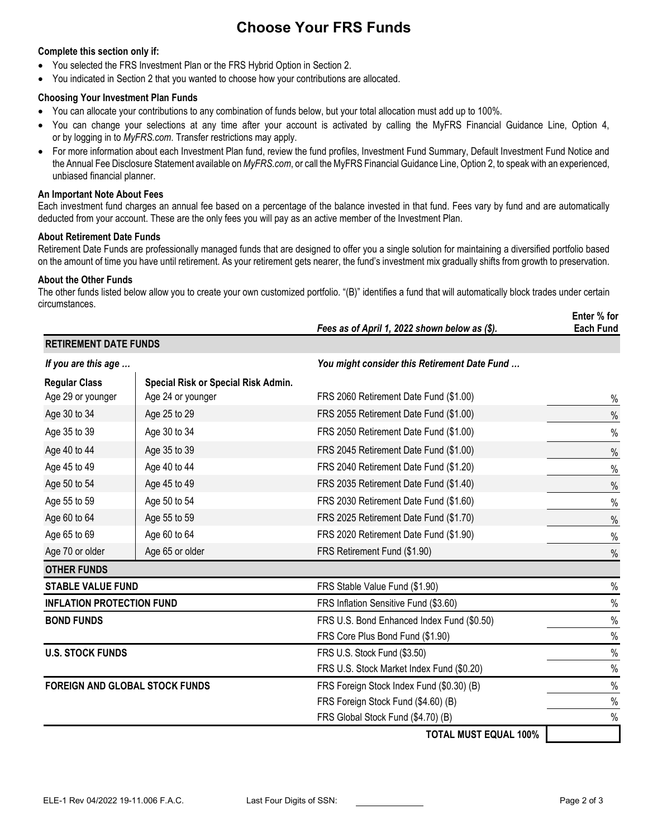# **Choose Your FRS Funds**

#### **Complete this section only if:**

- You selected the FRS Investment Plan or the FRS Hybrid Option in Section 2.
- You indicated in Section 2 that you wanted to choose how your contributions are allocated.

#### **Choosing Your Investment Plan Funds**

- You can allocate your contributions to any combination of funds below, but your total allocation must add up to 100%.
- You can change your selections at any time after your account is activated by calling the MyFRS Financial Guidance Line, Option 4, or by logging in to *[MyFRS.com](http://myfrs.com/)*. Transfer restrictions may apply.
- For more information about each Investment Plan fund, review the fund profiles, Investment Fund Summary, Default Investment Fund Notice and the Annual Fee Disclosure Statement available on *MyFRS.com*, or call the MyFRS Financial Guidance Line, Option 2, to speak with an experienced, unbiased financial planner.

#### **An Important Note About Fees**

Each investment fund charges an annual fee based on a percentage of the balance invested in that fund. Fees vary by fund and are automatically deducted from your account. These are the only fees you will pay as an active member of the Investment Plan.

#### **About Retirement Date Funds**

Retirement Date Funds are professionally managed funds that are designed to offer you a single solution for maintaining a diversified portfolio based on the amount of time you have until retirement. As your retirement gets nearer, the fund's investment mix gradually shifts from growth to preservation.

#### **About the Other Funds**

The other funds listed below allow you to create your own customized portfolio. "(B)" identifies a fund that will automatically block trades under certain circumstances. **Enter % for**

|                                       |                                     | Fees as of April 1, 2022 shown below as (\$). | EIILEI 70 IUI<br><b>Each Fund</b> |
|---------------------------------------|-------------------------------------|-----------------------------------------------|-----------------------------------|
| <b>RETIREMENT DATE FUNDS</b>          |                                     |                                               |                                   |
| If you are this age                   |                                     | You might consider this Retirement Date Fund  |                                   |
| <b>Regular Class</b>                  | Special Risk or Special Risk Admin. |                                               |                                   |
| Age 29 or younger                     | Age 24 or younger                   | FRS 2060 Retirement Date Fund (\$1.00)        | %                                 |
| Age 30 to 34                          | Age 25 to 29                        | FRS 2055 Retirement Date Fund (\$1.00)        | $\%$                              |
| Age 35 to 39                          | Age 30 to 34                        | FRS 2050 Retirement Date Fund (\$1.00)        | $\%$                              |
| Age 40 to 44                          | Age 35 to 39                        | FRS 2045 Retirement Date Fund (\$1.00)        | $\%$                              |
| Age 45 to 49                          | Age 40 to 44                        | FRS 2040 Retirement Date Fund (\$1.20)        | $\%$                              |
| Age 50 to 54                          | Age 45 to 49                        | FRS 2035 Retirement Date Fund (\$1.40)        | $\%$                              |
| Age 55 to 59                          | Age 50 to 54                        | FRS 2030 Retirement Date Fund (\$1.60)        | $\%$                              |
| Age 60 to 64                          | Age 55 to 59                        | FRS 2025 Retirement Date Fund (\$1.70)        | $\%$                              |
| Age 65 to 69                          | Age 60 to 64                        | FRS 2020 Retirement Date Fund (\$1.90)        | $\%$                              |
| Age 70 or older                       | Age 65 or older                     | FRS Retirement Fund (\$1.90)                  | $\%$                              |
| <b>OTHER FUNDS</b>                    |                                     |                                               |                                   |
| <b>STABLE VALUE FUND</b>              |                                     | FRS Stable Value Fund (\$1.90)                | $\%$                              |
| <b>INFLATION PROTECTION FUND</b>      |                                     | FRS Inflation Sensitive Fund (\$3.60)         | $\%$                              |
| <b>BOND FUNDS</b>                     |                                     | FRS U.S. Bond Enhanced Index Fund (\$0.50)    | $\%$                              |
|                                       |                                     | FRS Core Plus Bond Fund (\$1.90)              | $\%$                              |
| <b>U.S. STOCK FUNDS</b>               |                                     | FRS U.S. Stock Fund (\$3.50)                  | $\%$                              |
|                                       |                                     | FRS U.S. Stock Market Index Fund (\$0.20)     | $\%$                              |
| <b>FOREIGN AND GLOBAL STOCK FUNDS</b> |                                     | FRS Foreign Stock Index Fund (\$0.30) (B)     | $\%$                              |
|                                       |                                     | FRS Foreign Stock Fund (\$4.60) (B)           | $\%$                              |
|                                       |                                     | FRS Global Stock Fund (\$4.70) (B)            | $\%$                              |
|                                       |                                     | <b>TOTAL MUST EQUAL 100%</b>                  |                                   |